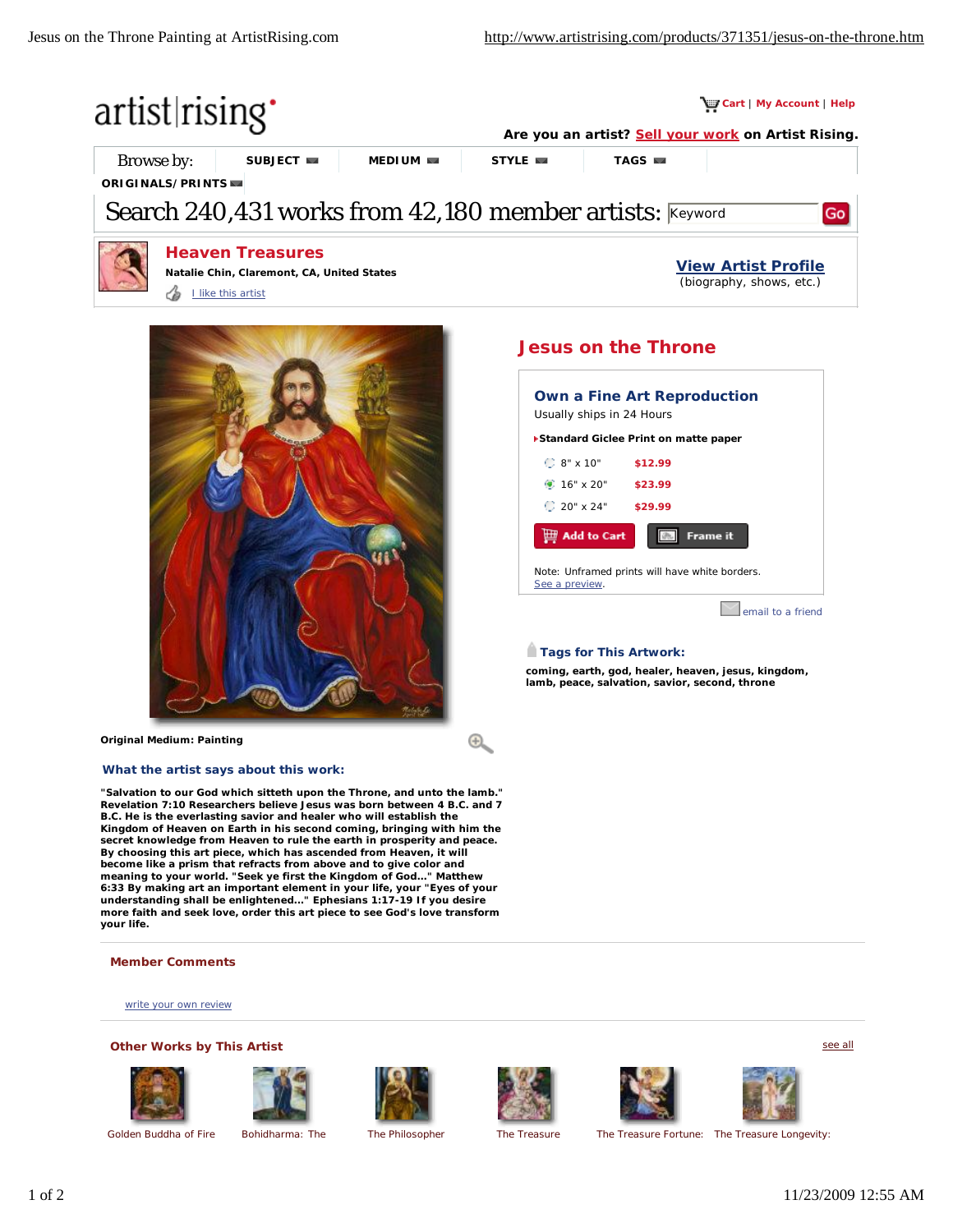

 $\bigoplus$ 



**Original Medium: Painting**

### **What the artist says about this work:**

**"Salvation to our God which sitteth upon the Throne, and unto the lamb." Revelation 7:10 Researchers believe Jesus was born between 4 B.C. and 7 B.C. He is the everlasting savior and healer who will establish the Kingdom of Heaven on Earth in his second coming, bringing with him the secret knowledge from Heaven to rule the earth in prosperity and peace. By choosing this art piece, which has ascended from Heaven, it will**  become like a prism that refracts from above and to give color and<br>meaning to your world. "Seek ye first the Kingdom of God..." Matthew **6:33 By making art an important element in your life, your "Eyes of your understanding shall be enlightened..." Ephesians 1:17-19 If you desire more faith and seek love, order this art piece to see God's love transform your life.**

#### **Member Comments**

write your own review

### **Other Works by This Artist**















Golden Buddha of Fire Bohidharma: The The Philosopher The Treasure The Treasure Fortune: The Treasure Longevity:

see all

# Note: Unframed prints will have white borders.

Frame it

**email to a friend** 

## **Tags for This Artwork:**

See a preview.

 $\mathop\boxplus$  Add to Cart

**Standard Giclee Print on matte paper** 

**Own a Fine Art Reproduction**

8" x 10" **\$12.99** 16" x 20" **\$23.99** 20" x 24" **\$29.99**

Usually ships in 24 Hours

**coming, earth, god, healer, heaven, jesus, kingdom, lamb, peace, salvation, savior, second, throne**